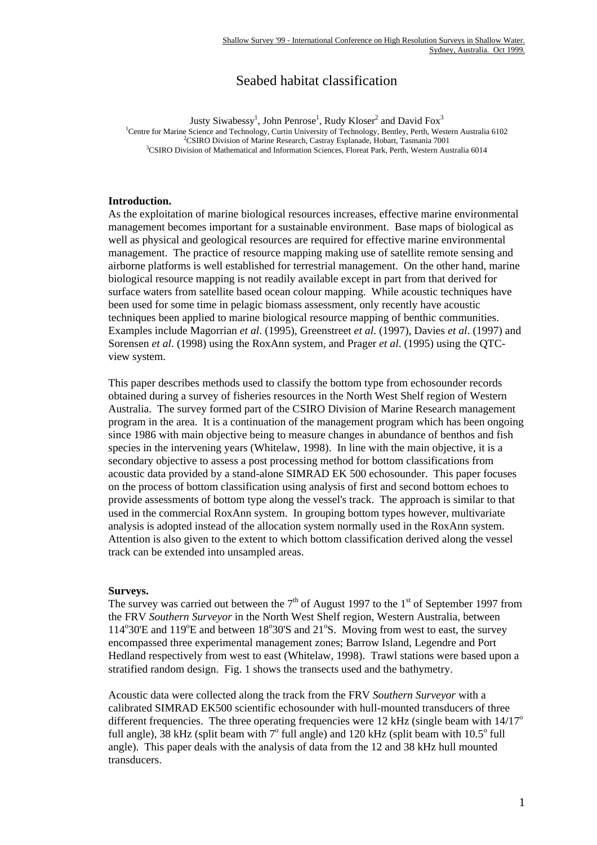# Seabed habitat classification

Justy Siwabessy<sup>1</sup>, John Penrose<sup>1</sup>, Rudy Kloser<sup>2</sup> and David Fox<sup>3</sup> <sup>1</sup>Centre for Marine Science and Technology, Curtin University of Technology, Bentley, Perth, Western Australia 6102 <sup>2</sup>CSIRO Division of Marine Research, Castray Esplanade, Hobart, Tasmania 7001 <sup>3</sup>CSIRO Division of Mathematical and Information Sciences, Floreat Park, Perth, Western Australia 6014

## **Introduction.**

As the exploitation of marine biological resources increases, effective marine environmental management becomes important for a sustainable environment. Base maps of biological as well as physical and geological resources are required for effective marine environmental management. The practice of resource mapping making use of satellite remote sensing and airborne platforms is well established for terrestrial management. On the other hand, marine biological resource mapping is not readily available except in part from that derived for surface waters from satellite based ocean colour mapping. While acoustic techniques have been used for some time in pelagic biomass assessment, only recently have acoustic techniques been applied to marine biological resource mapping of benthic communities. Examples include Magorrian *et al*. (1995), Greenstreet *et al*. (1997), Davies *et al*. (1997) and Sorensen *et al*. (1998) using the RoxAnn system, and Prager *et al*. (1995) using the QTCview system.

This paper describes methods used to classify the bottom type from echosounder records obtained during a survey of fisheries resources in the North West Shelf region of Western Australia. The survey formed part of the CSIRO Division of Marine Research management program in the area. It is a continuation of the management program which has been ongoing since 1986 with main objective being to measure changes in abundance of benthos and fish species in the intervening years (Whitelaw, 1998). In line with the main objective, it is a secondary objective to assess a post processing method for bottom classifications from acoustic data provided by a stand-alone SIMRAD EK 500 echosounder. This paper focuses on the process of bottom classification using analysis of first and second bottom echoes to provide assessments of bottom type along the vessel's track. The approach is similar to that used in the commercial RoxAnn system. In grouping bottom types however, multivariate analysis is adopted instead of the allocation system normally used in the RoxAnn system. Attention is also given to the extent to which bottom classification derived along the vessel track can be extended into unsampled areas.

## **Surveys.**

The survey was carried out between the  $7<sup>th</sup>$  of August 1997 to the 1<sup>st</sup> of September 1997 from the FRV *Southern Surveyor* in the North West Shelf region, Western Australia, between 114°30'E and 119°E and between 18°30'S and 21°S. Moving from west to east, the survey encompassed three experimental management zones; Barrow Island, Legendre and Port Hedland respectively from west to east (Whitelaw, 1998). Trawl stations were based upon a stratified random design. Fig. 1 shows the transects used and the bathymetry.

Acoustic data were collected along the track from the FRV *Southern Surveyor* with a calibrated SIMRAD EK500 scientific echosounder with hull-mounted transducers of three different frequencies. The three operating frequencies were 12 kHz (single beam with  $14/17^{\circ}$ ) full angle),  $38$  kHz (split beam with  $7^\circ$  full angle) and  $120$  kHz (split beam with  $10.5^\circ$  full angle). This paper deals with the analysis of data from the 12 and 38 kHz hull mounted transducers.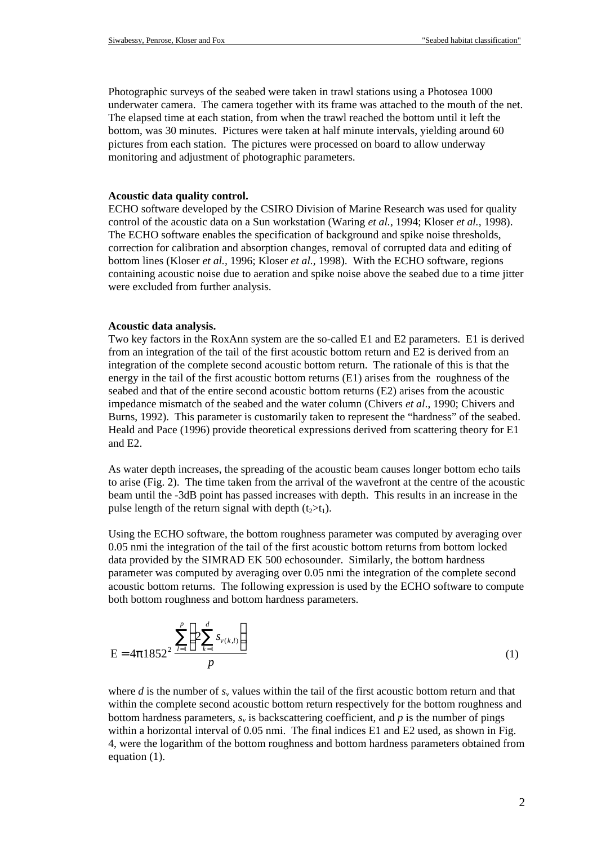Photographic surveys of the seabed were taken in trawl stations using a Photosea 1000 underwater camera. The camera together with its frame was attached to the mouth of the net. The elapsed time at each station, from when the trawl reached the bottom until it left the bottom, was 30 minutes. Pictures were taken at half minute intervals, yielding around 60 pictures from each station. The pictures were processed on board to allow underway monitoring and adjustment of photographic parameters.

#### **Acoustic data quality control.**

ECHO software developed by the CSIRO Division of Marine Research was used for quality control of the acoustic data on a Sun workstation (Waring *et al.,* 1994; Kloser *et al.,* 1998). The ECHO software enables the specification of background and spike noise thresholds, correction for calibration and absorption changes, removal of corrupted data and editing of bottom lines (Kloser *et al.,* 1996; Kloser *et al.,* 1998). With the ECHO software, regions containing acoustic noise due to aeration and spike noise above the seabed due to a time jitter were excluded from further analysis.

#### **Acoustic data analysis.**

Two key factors in the RoxAnn system are the so-called E1 and E2 parameters. E1 is derived from an integration of the tail of the first acoustic bottom return and E2 is derived from an integration of the complete second acoustic bottom return. The rationale of this is that the energy in the tail of the first acoustic bottom returns (E1) arises from the roughness of the seabed and that of the entire second acoustic bottom returns (E2) arises from the acoustic impedance mismatch of the seabed and the water column (Chivers *et al*., 1990; Chivers and Burns, 1992). This parameter is customarily taken to represent the "hardness" of the seabed. Heald and Pace (1996) provide theoretical expressions derived from scattering theory for E1 and E2.

As water depth increases, the spreading of the acoustic beam causes longer bottom echo tails to arise (Fig. 2). The time taken from the arrival of the wavefront at the centre of the acoustic beam until the -3dB point has passed increases with depth. This results in an increase in the pulse length of the return signal with depth  $(t_2>t_1)$ .

Using the ECHO software, the bottom roughness parameter was computed by averaging over 0.05 nmi the integration of the tail of the first acoustic bottom returns from bottom locked data provided by the SIMRAD EK 500 echosounder. Similarly, the bottom hardness parameter was computed by averaging over 0.05 nmi the integration of the complete second acoustic bottom returns. The following expression is used by the ECHO software to compute both bottom roughness and bottom hardness parameters.

$$
E = 4p1852^{2} \frac{\sum_{l=1}^{p} \left( 2 \sum_{k=1}^{d} s_{\nu(k,l)} \right)}{p}
$$
(1)

where *d* is the number of  $s<sub>v</sub>$  values within the tail of the first acoustic bottom return and that within the complete second acoustic bottom return respectively for the bottom roughness and bottom hardness parameters,  $s<sub>v</sub>$  is backscattering coefficient, and  $p$  is the number of pings within a horizontal interval of 0.05 nmi. The final indices E1 and E2 used, as shown in Fig. 4, were the logarithm of the bottom roughness and bottom hardness parameters obtained from equation (1).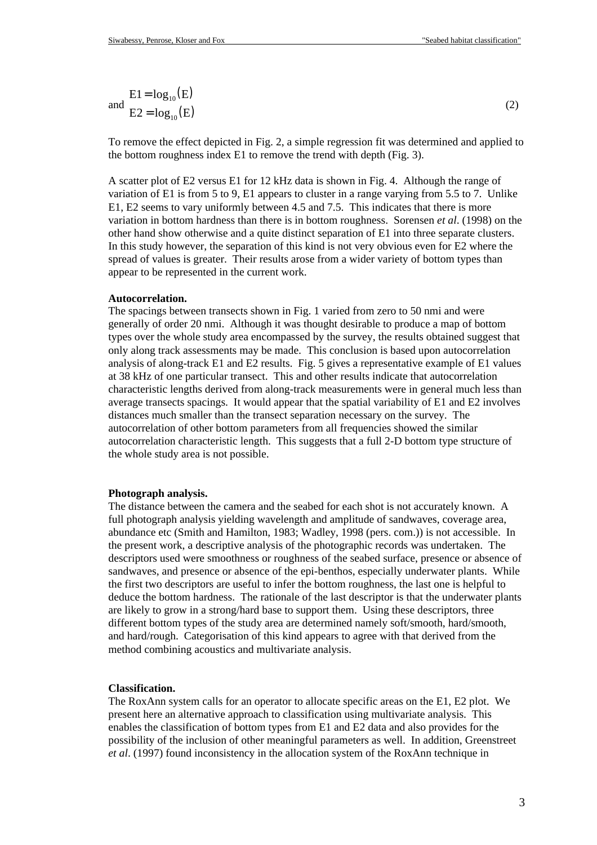$$
\text{End} \quad \text{E1} = \log_{10}(\text{E})
$$
\n
$$
\text{and} \quad \text{E2} = \log_{10}(\text{E})
$$
\n
$$
\tag{2}
$$

To remove the effect depicted in Fig. 2, a simple regression fit was determined and applied to the bottom roughness index E1 to remove the trend with depth (Fig. 3).

A scatter plot of E2 versus E1 for 12 kHz data is shown in Fig. 4. Although the range of variation of E1 is from 5 to 9, E1 appears to cluster in a range varying from 5.5 to 7. Unlike E1, E2 seems to vary uniformly between 4.5 and 7.5. This indicates that there is more variation in bottom hardness than there is in bottom roughness. Sorensen *et al*. (1998) on the other hand show otherwise and a quite distinct separation of E1 into three separate clusters. In this study however, the separation of this kind is not very obvious even for E2 where the spread of values is greater. Their results arose from a wider variety of bottom types than appear to be represented in the current work.

#### **Autocorrelation.**

The spacings between transects shown in Fig. 1 varied from zero to 50 nmi and were generally of order 20 nmi. Although it was thought desirable to produce a map of bottom types over the whole study area encompassed by the survey, the results obtained suggest that only along track assessments may be made. This conclusion is based upon autocorrelation analysis of along-track E1 and E2 results. Fig. 5 gives a representative example of E1 values at 38 kHz of one particular transect. This and other results indicate that autocorrelation characteristic lengths derived from along-track measurements were in general much less than average transects spacings. It would appear that the spatial variability of E1 and E2 involves distances much smaller than the transect separation necessary on the survey. The autocorrelation of other bottom parameters from all frequencies showed the similar autocorrelation characteristic length. This suggests that a full 2-D bottom type structure of the whole study area is not possible.

#### **Photograph analysis.**

The distance between the camera and the seabed for each shot is not accurately known. A full photograph analysis yielding wavelength and amplitude of sandwaves, coverage area, abundance etc (Smith and Hamilton, 1983; Wadley, 1998 (pers. com.)) is not accessible. In the present work, a descriptive analysis of the photographic records was undertaken. The descriptors used were smoothness or roughness of the seabed surface, presence or absence of sandwaves, and presence or absence of the epi-benthos, especially underwater plants. While the first two descriptors are useful to infer the bottom roughness, the last one is helpful to deduce the bottom hardness. The rationale of the last descriptor is that the underwater plants are likely to grow in a strong/hard base to support them. Using these descriptors, three different bottom types of the study area are determined namely soft/smooth, hard/smooth, and hard/rough. Categorisation of this kind appears to agree with that derived from the method combining acoustics and multivariate analysis.

## **Classification.**

The RoxAnn system calls for an operator to allocate specific areas on the E1, E2 plot. We present here an alternative approach to classification using multivariate analysis. This enables the classification of bottom types from E1 and E2 data and also provides for the possibility of the inclusion of other meaningful parameters as well. In addition, Greenstreet *et al*. (1997) found inconsistency in the allocation system of the RoxAnn technique in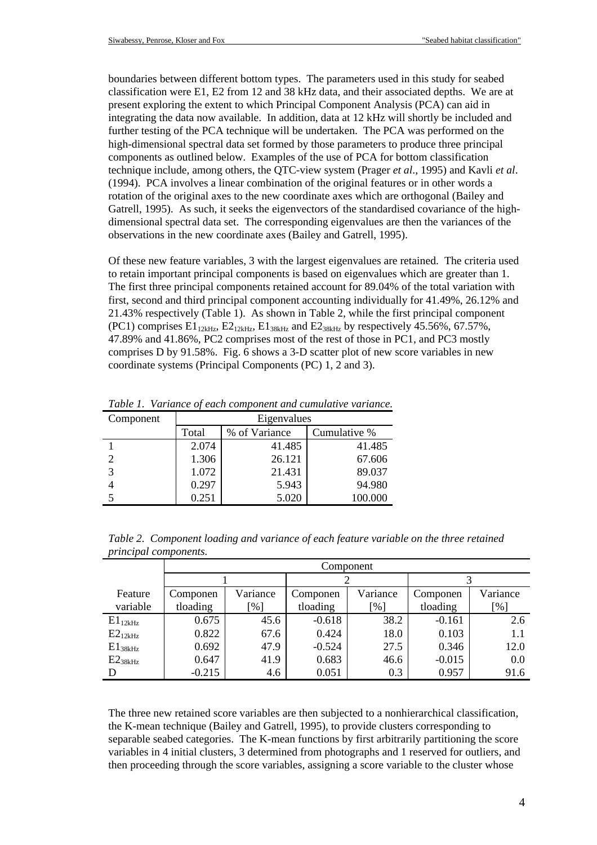boundaries between different bottom types. The parameters used in this study for seabed classification were E1, E2 from 12 and 38 kHz data, and their associated depths. We are at present exploring the extent to which Principal Component Analysis (PCA) can aid in integrating the data now available. In addition, data at 12 kHz will shortly be included and further testing of the PCA technique will be undertaken. The PCA was performed on the high-dimensional spectral data set formed by those parameters to produce three principal components as outlined below. Examples of the use of PCA for bottom classification technique include, among others, the QTC-view system (Prager *et al*., 1995) and Kavli *et al*. (1994). PCA involves a linear combination of the original features or in other words a rotation of the original axes to the new coordinate axes which are orthogonal (Bailey and Gatrell, 1995). As such, it seeks the eigenvectors of the standardised covariance of the highdimensional spectral data set. The corresponding eigenvalues are then the variances of the observations in the new coordinate axes (Bailey and Gatrell, 1995).

Of these new feature variables, 3 with the largest eigenvalues are retained. The criteria used to retain important principal components is based on eigenvalues which are greater than 1. The first three principal components retained account for 89.04% of the total variation with first, second and third principal component accounting individually for 41.49%, 26.12% and 21.43% respectively (Table 1). As shown in Table 2, while the first principal component  $(PC1)$  comprises  $E1_{12kHz}$ ,  $E2_{12kHz}$ ,  $E1_{38kHz}$  and  $E2_{38kHz}$  by respectively 45.56%, 67.57%, 47.89% and 41.86%, PC2 comprises most of the rest of those in PC1, and PC3 mostly comprises D by 91.58%. Fig. 6 shows a 3-D scatter plot of new score variables in new coordinate systems (Principal Components (PC) 1, 2 and 3).

| Component                   | Eigenvalues |               |              |  |
|-----------------------------|-------------|---------------|--------------|--|
|                             | Total       | % of Variance | Cumulative % |  |
|                             | 2.074       | 41.485        | 41.485       |  |
| $\mathcal{D}_{\mathcal{L}}$ | 1.306       | 26.121        | 67.606       |  |
| 3                           | 1.072       | 21.431        | 89.037       |  |
|                             | 0.297       | 5.943         | 94.980       |  |
|                             | 0.251       | 5.020         | 100.000      |  |

*Table 1. Variance of each component and cumulative variance.*

| Table 2. Component loading and variance of each feature variable on the three retained |  |  |  |
|----------------------------------------------------------------------------------------|--|--|--|
| <i>principal components.</i>                                                           |  |  |  |

|              | Component |          |          |                    |          |          |
|--------------|-----------|----------|----------|--------------------|----------|----------|
|              |           |          |          |                    |          |          |
| Feature      | Componen  | Variance | Componen | Variance           | Componen | Variance |
| variable     | tloading  | [%]      | tloading | $\lceil \% \rceil$ | tloading | [%]      |
| $E1_{12kHz}$ | 0.675     | 45.6     | $-0.618$ | 38.2               | $-0.161$ | 2.6      |
| $E2_{12kHz}$ | 0.822     | 67.6     | 0.424    | 18.0               | 0.103    | 1.1      |
| $E1_{38kHz}$ | 0.692     | 47.9     | $-0.524$ | 27.5               | 0.346    | 12.0     |
| $E2_{38kHz}$ | 0.647     | 41.9     | 0.683    | 46.6               | $-0.015$ | 0.0      |
| D            | $-0.215$  | 4.6      | 0.051    | 0.3                | 0.957    | 91.6     |

The three new retained score variables are then subjected to a nonhierarchical classification, the K-mean technique (Bailey and Gatrell, 1995), to provide clusters corresponding to separable seabed categories. The K-mean functions by first arbitrarily partitioning the score variables in 4 initial clusters, 3 determined from photographs and 1 reserved for outliers, and then proceeding through the score variables, assigning a score variable to the cluster whose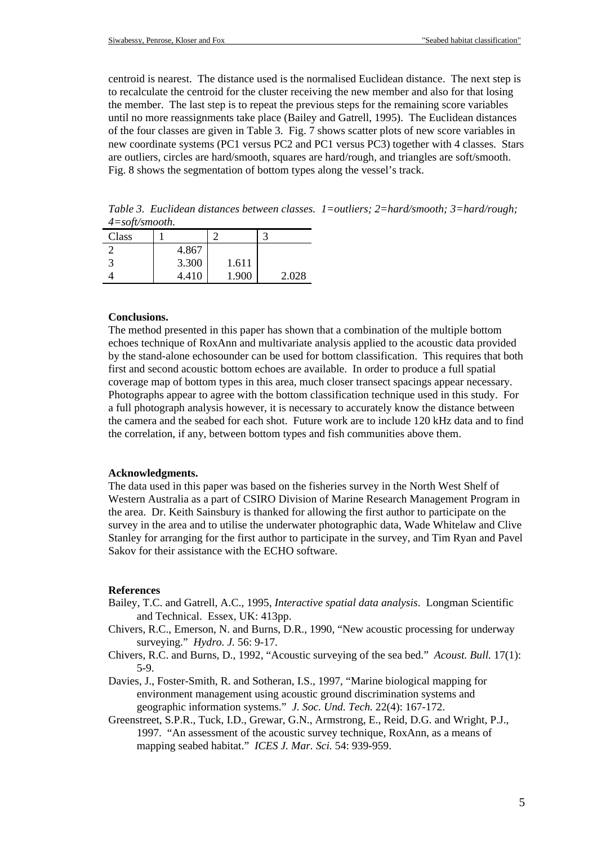centroid is nearest. The distance used is the normalised Euclidean distance. The next step is to recalculate the centroid for the cluster receiving the new member and also for that losing the member. The last step is to repeat the previous steps for the remaining score variables until no more reassignments take place (Bailey and Gatrell, 1995). The Euclidean distances of the four classes are given in Table 3. Fig. 7 shows scatter plots of new score variables in new coordinate systems (PC1 versus PC2 and PC1 versus PC3) together with 4 classes. Stars are outliers, circles are hard/smooth, squares are hard/rough, and triangles are soft/smooth. Fig. 8 shows the segmentation of bottom types along the vessel's track.

*Table 3. Euclidean distances between classes. 1=outliers; 2=hard/smooth; 3=hard/rough; 4=soft/smooth.*

| Class |       |       |       |
|-------|-------|-------|-------|
|       | 4.867 |       |       |
|       | 3.300 | 1.611 |       |
|       | 4.410 | 1.900 | 2.028 |

## **Conclusions.**

The method presented in this paper has shown that a combination of the multiple bottom echoes technique of RoxAnn and multivariate analysis applied to the acoustic data provided by the stand-alone echosounder can be used for bottom classification. This requires that both first and second acoustic bottom echoes are available. In order to produce a full spatial coverage map of bottom types in this area, much closer transect spacings appear necessary. Photographs appear to agree with the bottom classification technique used in this study. For a full photograph analysis however, it is necessary to accurately know the distance between the camera and the seabed for each shot. Future work are to include 120 kHz data and to find the correlation, if any, between bottom types and fish communities above them.

### **Acknowledgments.**

The data used in this paper was based on the fisheries survey in the North West Shelf of Western Australia as a part of CSIRO Division of Marine Research Management Program in the area. Dr. Keith Sainsbury is thanked for allowing the first author to participate on the survey in the area and to utilise the underwater photographic data, Wade Whitelaw and Clive Stanley for arranging for the first author to participate in the survey, and Tim Ryan and Pavel Sakov for their assistance with the ECHO software.

#### **References**

- Bailey, T.C. and Gatrell, A.C., 1995, *Interactive spatial data analysis*. Longman Scientific and Technical. Essex, UK: 413pp.
- Chivers, R.C., Emerson, N. and Burns, D.R., 1990, "New acoustic processing for underway surveying." *Hydro. J.* 56: 9-17.
- Chivers, R.C. and Burns, D., 1992, "Acoustic surveying of the sea bed." *Acoust. Bull.* 17(1): 5-9.
- Davies, J., Foster-Smith, R. and Sotheran, I.S., 1997, "Marine biological mapping for environment management using acoustic ground discrimination systems and geographic information systems." *J. Soc. Und. Tech.* 22(4): 167-172.
- Greenstreet, S.P.R., Tuck, I.D., Grewar, G.N., Armstrong, E., Reid, D.G. and Wright, P.J., 1997. "An assessment of the acoustic survey technique, RoxAnn, as a means of mapping seabed habitat." *ICES J. Mar. Sci.* 54: 939-959.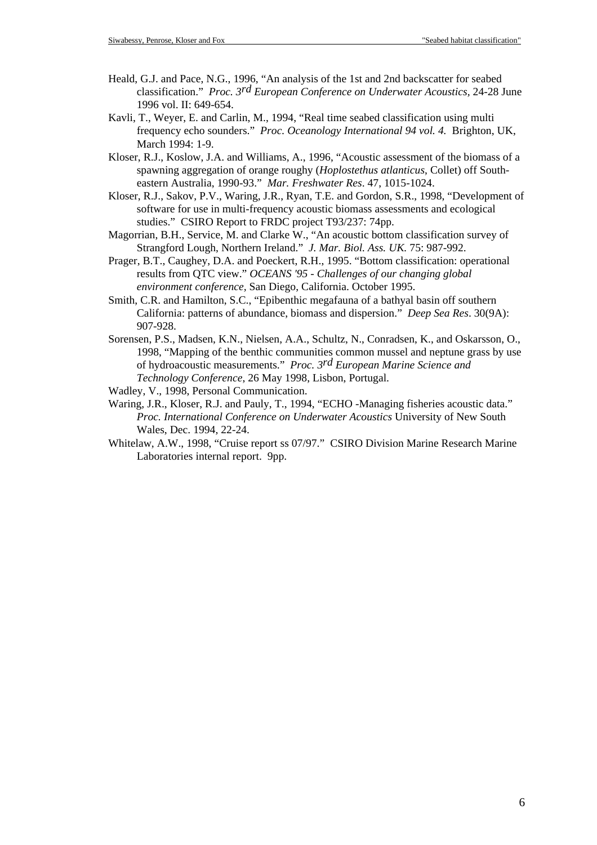- Heald, G.J. and Pace, N.G., 1996, "An analysis of the 1st and 2nd backscatter for seabed classification." *Proc. 3rd European Conference on Underwater Acoustics,* 24-28 June 1996 vol. II: 649-654.
- Kavli, T., Weyer, E. and Carlin, M., 1994, "Real time seabed classification using multi frequency echo sounders." *Proc. Oceanology International 94 vol. 4.* Brighton, UK, March 1994: 1-9.
- Kloser, R.J., Koslow, J.A. and Williams, A., 1996, "Acoustic assessment of the biomass of a spawning aggregation of orange roughy (*Hoplostethus atlanticus*, Collet) off Southeastern Australia, 1990-93." *Mar. Freshwater Res*. 47, 1015-1024.
- Kloser, R.J., Sakov, P.V., Waring, J.R., Ryan, T.E. and Gordon, S.R., 1998, "Development of software for use in multi-frequency acoustic biomass assessments and ecological studies." CSIRO Report to FRDC project T93/237: 74pp.
- Magorrian, B.H., Service, M. and Clarke W., "An acoustic bottom classification survey of Strangford Lough, Northern Ireland." *J. Mar. Biol. Ass. UK.* 75: 987-992.
- Prager, B.T., Caughey, D.A. and Poeckert, R.H., 1995. "Bottom classification: operational results from QTC view." *OCEANS '95 - Challenges of our changing global environment conference,* San Diego, California. October 1995.
- Smith, C.R. and Hamilton, S.C., "Epibenthic megafauna of a bathyal basin off southern California: patterns of abundance, biomass and dispersion." *Deep Sea Res*. 30(9A): 907-928.
- Sorensen, P.S., Madsen, K.N., Nielsen, A.A., Schultz, N., Conradsen, K., and Oskarsson, O., 1998, "Mapping of the benthic communities common mussel and neptune grass by use of hydroacoustic measurements." *Proc. 3rd European Marine Science and Technology Conference*, 26 May 1998, Lisbon, Portugal.

Wadley, V., 1998, Personal Communication.

- Waring, J.R., Kloser, R.J. and Pauly, T., 1994, "ECHO -Managing fisheries acoustic data." *Proc. International Conference on Underwater Acoustics* University of New South Wales, Dec. 1994, 22-24.
- Whitelaw, A.W., 1998, "Cruise report ss 07/97." CSIRO Division Marine Research Marine Laboratories internal report. 9pp.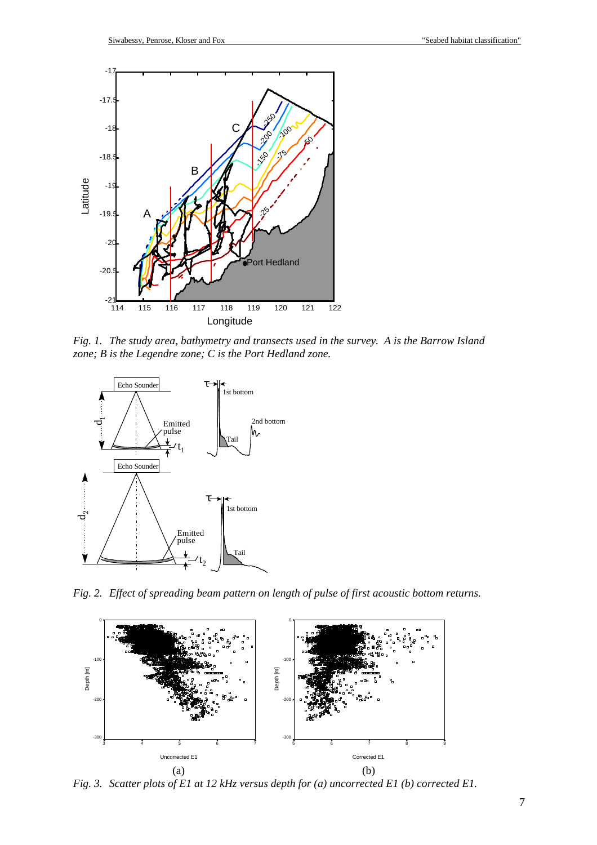

*Fig. 1. The study area, bathymetry and transects used in the survey. A is the Barrow Island zone; B is the Legendre zone; C is the Port Hedland zone.*



*Fig. 2. Effect of spreading beam pattern on length of pulse of first acoustic bottom returns.*



*Fig. 3. Scatter plots of E1 at 12 kHz versus depth for (a) uncorrected E1 (b) corrected E1.*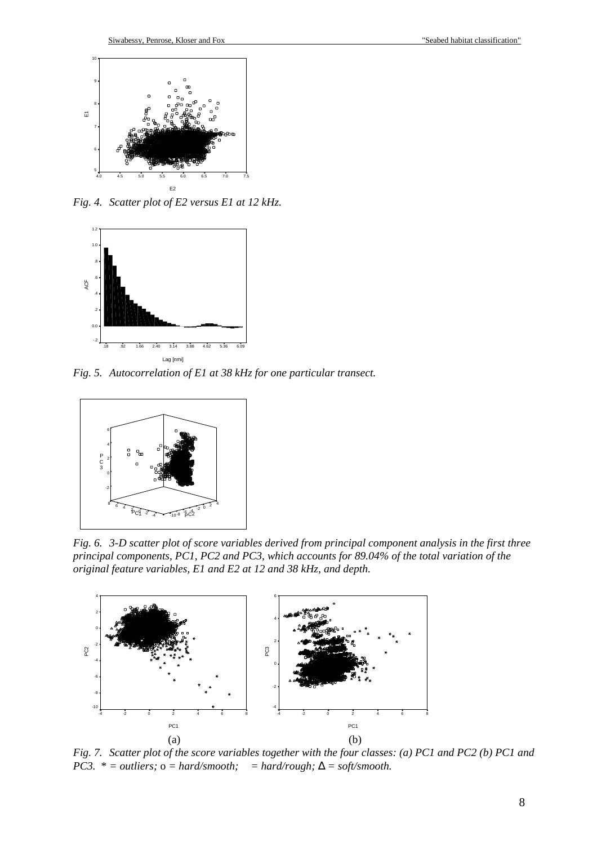

*Fig. 4. Scatter plot of E2 versus E1 at 12 kHz.*



*Fig. 5. Autocorrelation of E1 at 38 kHz for one particular transect.*



*Fig. 6. 3-D scatter plot of score variables derived from principal component analysis in the first three principal components, PC1, PC2 and PC3, which accounts for 89.04% of the total variation of the original feature variables, E1 and E2 at 12 and 38 kHz, and depth.*



*Fig. 7. Scatter plot of the score variables together with the four classes: (a) PC1 and PC2 (b) PC1 and PC3.*  $* = outliers$ ;  $o = hard/smooth$ ;  $= hard/rough$ ;  $\Delta = soft/smooth$ .